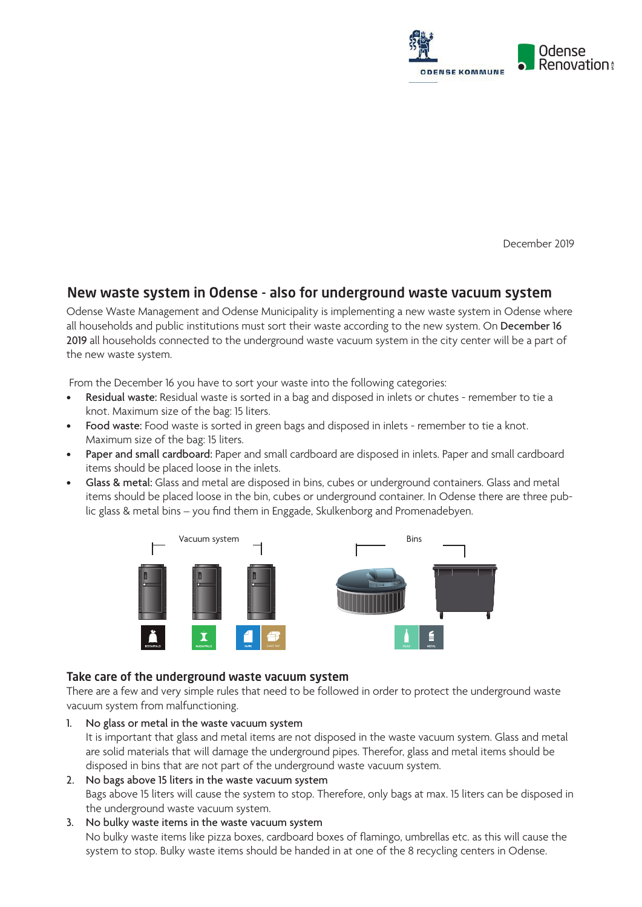

December 2019

# New waste system in Odense - also for underground waste vacuum system

Odense Waste Management and Odense Municipality is implementing a new waste system in Odense where all households and public institutions must sort their waste according to the new system. On December 16 2019 all households connected to the underground waste vacuum system in the city center will be a part of the new waste system.

From the December 16 you have to sort your waste into the following categories:

- Residual waste: Residual waste is sorted in a bag and disposed in inlets or chutes remember to tie a knot. Maximum size of the bag: 15 liters.
- Food waste: Food waste is sorted in green bags and disposed in inlets remember to tie a knot. Maximum size of the bag: 15 liters.
- Paper and small cardboard: Paper and small cardboard are disposed in inlets. Paper and small cardboard items should be placed loose in the inlets.
- Glass & metal: Glass and metal are disposed in bins, cubes or underground containers. Glass and metal items should be placed loose in the bin, cubes or underground container. In Odense there are three public glass & metal bins – you find them in Enggade, Skulkenborg and Promenadebyen.



#### Take care of the underground waste vacuum system

There are a few and very simple rules that need to be followed in order to protect the underground waste vacuum system from malfunctioning.

1. No glass or metal in the waste vacuum system

It is important that glass and metal items are not disposed in the waste vacuum system. Glass and metal are solid materials that will damage the underground pipes. Therefor, glass and metal items should be disposed in bins that are not part of the underground waste vacuum system.

- 2. No bags above 15 liters in the waste vacuum system Bags above 15 liters will cause the system to stop. Therefore, only bags at max. 15 liters can be disposed in the underground waste vacuum system.
- 3. No bulky waste items in the waste vacuum system No bulky waste items like pizza boxes, cardboard boxes of flamingo, umbrellas etc. as this will cause the system to stop. Bulky waste items should be handed in at one of the 8 recycling centers in Odense.